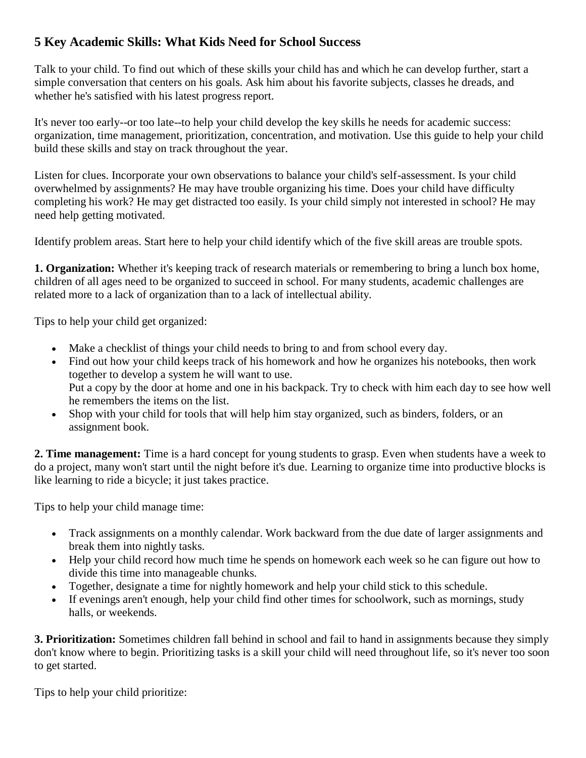## **5 Key Academic Skills: What Kids Need for School Success**

Talk to your child. To find out which of these skills your child has and which he can develop further, start a simple conversation that centers on his goals. Ask him about his favorite subjects, classes he dreads, and whether he's satisfied with his latest progress report.

It's never too early--or too late--to help your child develop the key skills he needs for academic success: organization, time management, prioritization, concentration, and motivation. Use this guide to help your child build these skills and stay on track throughout the year.

Listen for clues. Incorporate your own observations to balance your child's self-assessment. Is your child overwhelmed by assignments? He may have trouble organizing his time. Does your child have difficulty completing his work? He may get distracted too easily. Is your child simply not interested in school? He may need help getting motivated.

Identify problem areas. Start here to help your child identify which of the five skill areas are trouble spots.

**1. Organization:** Whether it's keeping track of research materials or remembering to bring a lunch box home, children of all ages need to be organized to succeed in school. For many students, academic challenges are related more to a lack of organization than to a lack of intellectual ability.

Tips to help your child get organized:

- Make a checklist of things your child needs to bring to and from school every day.
- Find out how your child keeps track of his homework and how he organizes his notebooks, then work together to develop a system he will want to use. Put a copy by the door at home and one in his backpack. Try to check with him each day to see how well he remembers the items on the list.
- Shop with your child for tools that will help him stay organized, such as binders, folders, or an assignment book.

**2. Time management:** Time is a hard concept for young students to grasp. Even when students have a week to do a project, many won't start until the night before it's due. Learning to organize time into productive blocks is like learning to ride a bicycle; it just takes practice.

Tips to help your child manage time:

- Track assignments on a monthly calendar. Work backward from the due date of larger assignments and break them into nightly tasks.
- Help your child record how much time he spends on homework each week so he can figure out how to divide this time into manageable chunks.
- Together, designate a time for nightly homework and help your child stick to this schedule.
- If evenings aren't enough, help your child find other times for schoolwork, such as mornings, study halls, or weekends.

**3. Prioritization:** Sometimes children fall behind in school and fail to hand in assignments because they simply don't know where to begin. Prioritizing tasks is a skill your child will need throughout life, so it's never too soon to get started.

Tips to help your child prioritize: